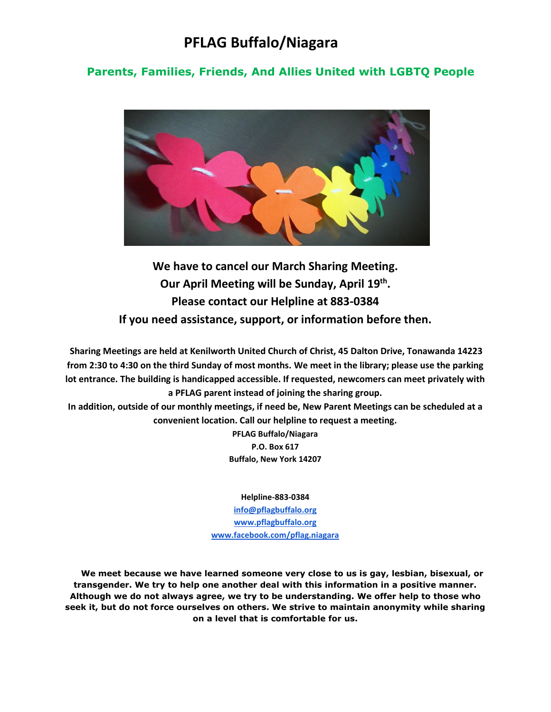# **PFLAG Buffalo/Niagara**

### **Parents, Families, Friends, And Allies United with LGBTQ People**



**We have to cancel our March Sharing Meeting. Our April Meeting will be Sunday, April 19th . Please contact our Helpline at 883-0384 If you need assistance, support, or information before then.**

**Sharing Meetings are held at Kenilworth United Church of Christ, 45 Dalton Drive, Tonawanda 14223 from 2:30 to 4:30 on the third Sunday of most months. We meet in the library; please use the parking lot entrance. The building is handicapped accessible. If requested, newcomers can meet privately with a PFLAG parent instead of joining the sharing group.** 

**In addition, outside of our monthly meetings, if need be, New Parent Meetings can be scheduled at a convenient location. Call our helpline to request a meeting.** 

> **PFLAG Buffalo/Niagara P.O. Box 617 Buffalo, New York 14207**

#### **Helpline-883-0384**

**[info@pflagbuffalo.org](mailto:info@pflagbuffalo.org) [www.pflagbuffalo.org](http://www.pflagbuffalo.org/) [www.facebook.com/pflag.niagara](http://www.facebook.com/pflag.niagara)**

 **We meet because we have learned someone very close to us is gay, lesbian, bisexual, or transgender. We try to help one another deal with this information in a positive manner. Although we do not always agree, we try to be understanding. We offer help to those who seek it, but do not force ourselves on others. We strive to maintain anonymity while sharing on a level that is comfortable for us.**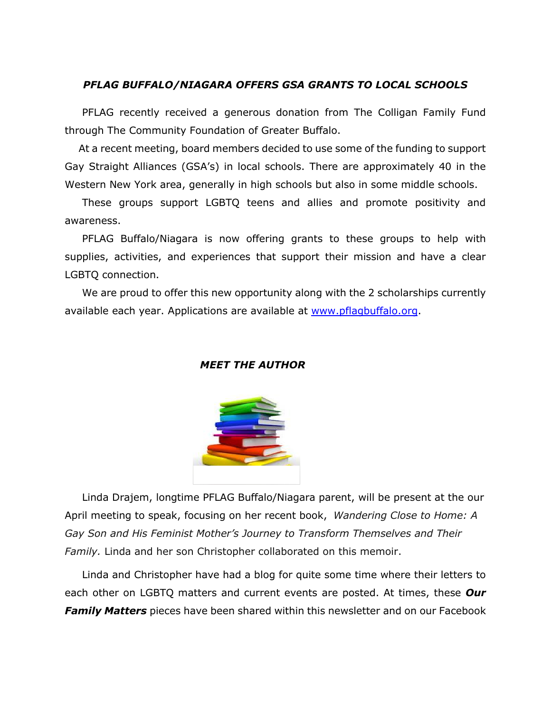#### *PFLAG BUFFALO/NIAGARA OFFERS GSA GRANTS TO LOCAL SCHOOLS*

 PFLAG recently received a generous donation from The Colligan Family Fund through The Community Foundation of Greater Buffalo.

 At a recent meeting, board members decided to use some of the funding to support Gay Straight Alliances (GSA's) in local schools. There are approximately 40 in the Western New York area, generally in high schools but also in some middle schools.

 These groups support LGBTQ teens and allies and promote positivity and awareness.

 PFLAG Buffalo/Niagara is now offering grants to these groups to help with supplies, activities, and experiences that support their mission and have a clear LGBTQ connection.

 We are proud to offer this new opportunity along with the 2 scholarships currently available each year. Applications are available at [www.pflagbuffalo.org.](http://www.pflagbuffalo.org/)

#### *MEET THE AUTHOR*



 Linda Drajem, longtime PFLAG Buffalo/Niagara parent, will be present at the our April meeting to speak, focusing on her recent book, *Wandering Close to Home: A Gay Son and His Feminist Mother's Journey to Transform Themselves and Their Family.* Linda and her son Christopher collaborated on this memoir.

 Linda and Christopher have had a blog for quite some time where their letters to each other on LGBTQ matters and current events are posted. At times, these *Our Family Matters* pieces have been shared within this newsletter and on our Facebook